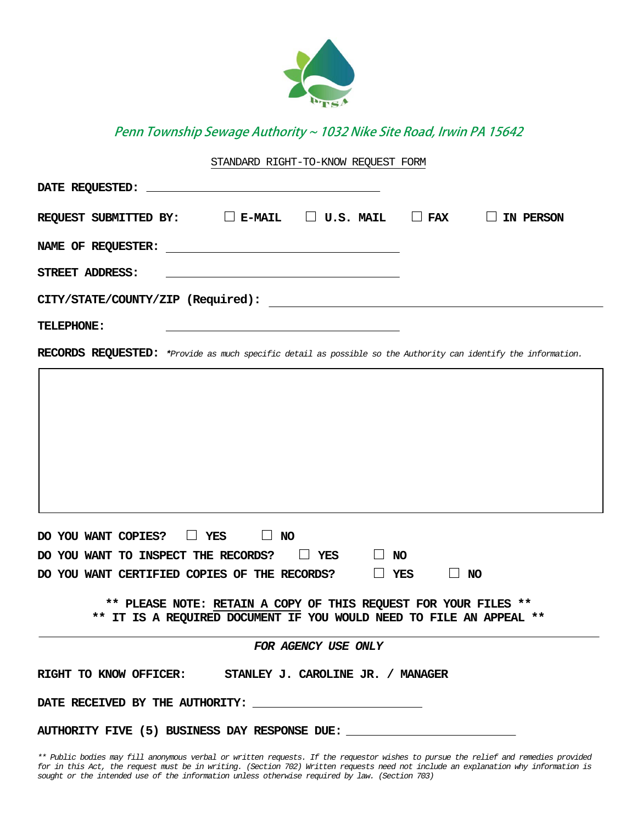

Penn Township Sewage Authority ~ 1032 Nike Site Road, Irwin PA 15642

# STANDARD RIGHT-TO-KNOW REQUEST FORM

| REQUEST SUBMITTED BY: $\square$ E-MAIL $\square$ U.S. MAIL $\square$ FAX $\square$ IN PERSON                                           |           |  |
|----------------------------------------------------------------------------------------------------------------------------------------|-----------|--|
|                                                                                                                                        |           |  |
| STREET ADDRESS:                                                                                                                        |           |  |
| CITY/STATE/COUNTY/ZIP (Required):                                                                                                      |           |  |
| TELEPHONE:                                                                                                                             |           |  |
| RECORDS REQUESTED: *Provide as much specific detail as possible so the Authority can identify the information.                         |           |  |
|                                                                                                                                        |           |  |
|                                                                                                                                        |           |  |
|                                                                                                                                        |           |  |
|                                                                                                                                        |           |  |
|                                                                                                                                        |           |  |
|                                                                                                                                        |           |  |
| DO YOU WANT COPIES? IT YES<br>$\Box$ NO                                                                                                |           |  |
| DO YOU WANT TO INSPECT THE RECORDS?<br>$\Box$ YES<br>$\Box$ NO                                                                         |           |  |
| $\Box$ YES<br>DO YOU WANT CERTIFIED COPIES OF THE RECORDS?                                                                             | $\Box$ No |  |
| ** PLEASE NOTE: RETAIN A COPY OF THIS REQUEST FOR YOUR FILES **<br>** IT IS A REQUIRED DOCUMENT IF YOU WOULD NEED TO FILE AN APPEAL ** |           |  |
| FOR AGENCY USE ONLY                                                                                                                    |           |  |
| RIGHT TO KNOW OFFICER: STANLEY J. CAROLINE JR. / MANAGER                                                                               |           |  |
|                                                                                                                                        |           |  |

**AUTHORITY FIVE (5) BUSINESS DAY RESPONSE DUE:**

*\*\* Public bodies may fill anonymous verbal or written requests. If the requestor wishes to pursue the relief and remedies provided for in this Act, the request must be in writing. (Section 702) Written requests need not include an explanation why information is sought or the intended use of the information unless otherwise required by law. (Section 703)*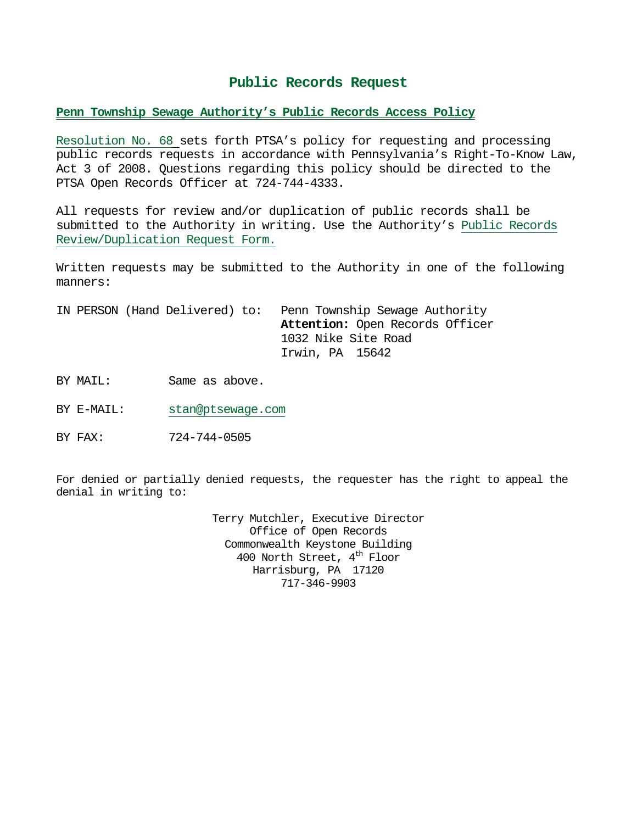# **Public Records Request**

# **Penn Township Sewage Authority's Public Records Access Policy**

Resolution No. 68 sets forth PTSA's policy for requesting and processing public records requests in accordance with Pennsylvania's Right-To-Know Law, Act 3 of 2008. Questions regarding this policy should be directed to the PTSA Open Records Officer at 724-744-4333.

All requests for review and/or duplication of public records shall be submitted to the Authority in writing. Use the Authority's Public Records Review/Duplication Request Form.

Written requests may be submitted to the Authority in one of the following manners:

IN PERSON (Hand Delivered) to: Penn Township Sewage Authority **Attention:** Open Records Officer 1032 Nike Site Road Irwin, PA 15642

BY MAIL: Same as above.

BY E-MAIL: stan@ptsewage.com

BY FAX: 724-744-0505

For denied or partially denied requests, the requester has the right to appeal the denial in writing to:

> Terry Mutchler, Executive Director Office of Open Records Commonwealth Keystone Building 400 North Street, 4<sup>th</sup> Floor Harrisburg, PA 17120 717-346-9903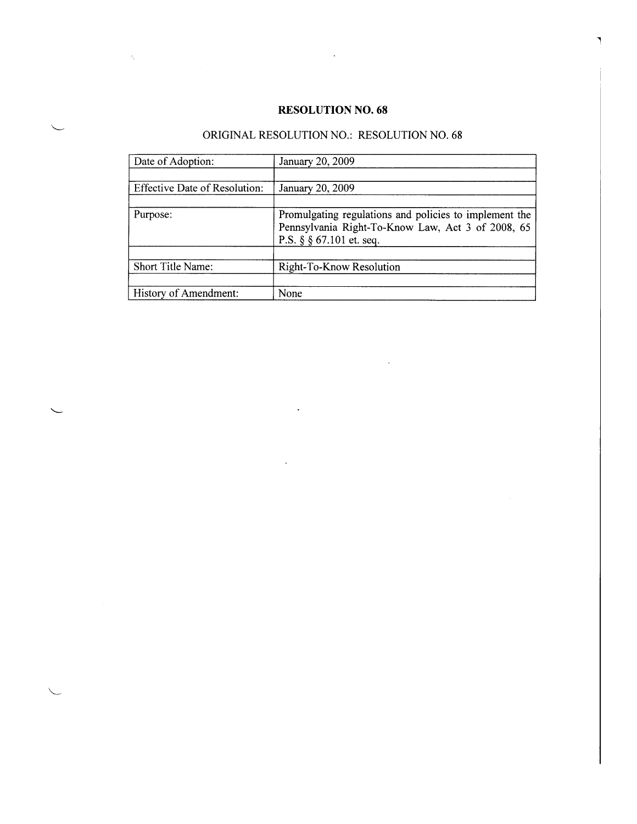# **RESOLUTION NO. 68**

 $\ddot{\phantom{a}}$ 

 $\langle \sigma_{\rm V} \rangle$ 

٦

# ORIGINAL RESOLUTION NO.: RESOLUTION NO. 68

| Date of Adoption:                    | January 20, 2009                                                                                                                              |
|--------------------------------------|-----------------------------------------------------------------------------------------------------------------------------------------------|
|                                      |                                                                                                                                               |
| <b>Effective Date of Resolution:</b> | January 20, 2009                                                                                                                              |
|                                      |                                                                                                                                               |
| Purpose:                             | Promulgating regulations and policies to implement the<br>Pennsylvania Right-To-Know Law, Act 3 of 2008, 65<br>P.S. $\S$ $\S$ 67.101 et. seq. |
|                                      |                                                                                                                                               |
| Short Title Name:                    | Right-To-Know Resolution                                                                                                                      |
| History of Amendment:                | None                                                                                                                                          |
|                                      |                                                                                                                                               |

 $\ddot{\phantom{a}}$ 

 $\bar{\lambda}$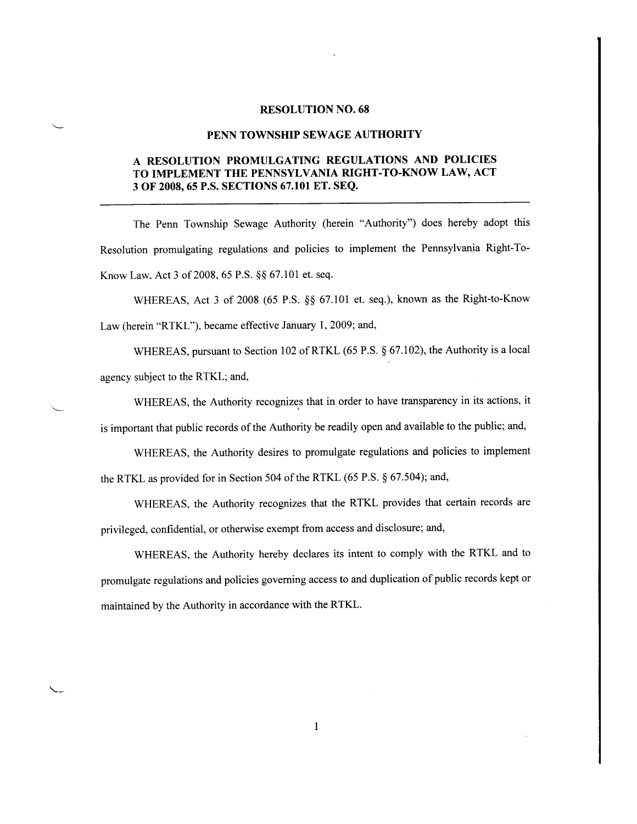# **RESOLUTION NO. 68**

#### PENN TOWNSHIP SEWAGE AUTHORITY

# A RESOLUTION PROMULGATING REGULATIONS AND POLICIES TO IMPLEMENT THE PENNSYLVANIA RIGHT-TO-KNOW LAW, ACT 3 OF 2008, 65 P.S. SECTIONS 67.101 ET. SEQ.

The Penn Township Sewage Authority (herein "Authority") does hereby adopt this Resolution promulgating regulations and policies to implement the Pennsylvania Right-To-Know Law, Act 3 of 2008, 65 P.S. §§ 67.101 et. seq.

WHEREAS, Act 3 of 2008 (65 P.S. §§ 67.101 et. seq.), known as the Right-to-Know Law (herein "RTKL"), became effective January 1, 2009; and,

WHEREAS, pursuant to Section 102 of RTKL (65 P.S. § 67.102), the Authority is a local agency subject to the RTKL; and,

WHEREAS, the Authority recognizes that in order to have transparency in its actions, it is important that public records of the Authority be readily open and available to the public; and,

WHEREAS, the Authority desires to promulgate regulations and policies to implement the RTKL as provided for in Section 504 of the RTKL (65 P.S. § 67.504); and,

WHEREAS, the Authority recognizes that the RTKL provides that certain records are privileged, confidential, or otherwise exempt from access and disclosure; and,

WHEREAS, the Authority hereby declares its intent to comply with the RTKL and to promulgate regulations and policies governing access to and duplication of public records kept or maintained by the Authority in accordance with the RTKL.

 $\mathbf{1}$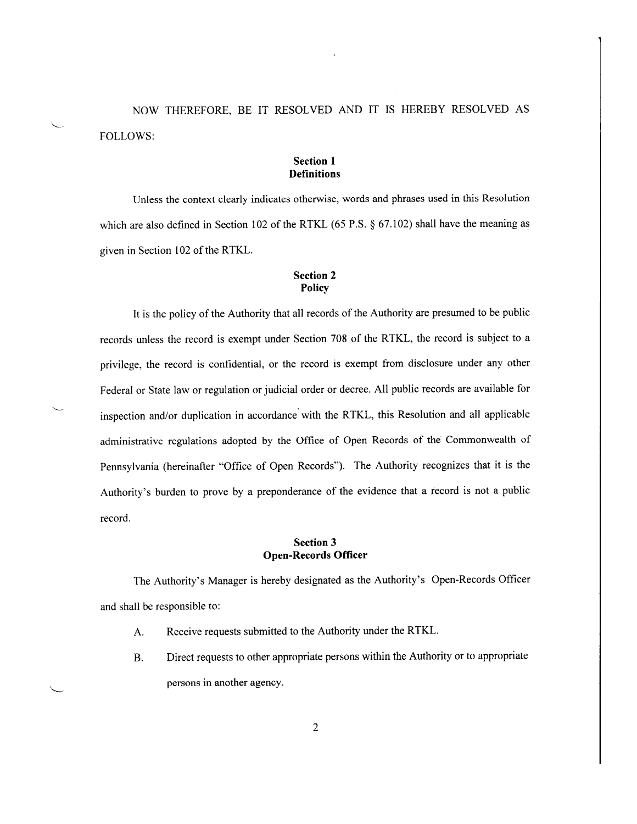NOW THEREFORE, BE IT RESOLVED AND IT IS HEREBY RESOLVED AS **FOLLOWS:** 

# **Section 1 Definitions**

Unless the context clearly indicates otherwise, words and phrases used in this Resolution which are also defined in Section 102 of the RTKL  $(65 P.S. \S 67.102)$  shall have the meaning as given in Section 102 of the RTKL.

# **Section 2** Policy

It is the policy of the Authority that all records of the Authority are presumed to be public records unless the record is exempt under Section 708 of the RTKL, the record is subject to a privilege, the record is confidential, or the record is exempt from disclosure under any other Federal or State law or regulation or judicial order or decree. All public records are available for inspection and/or duplication in accordance with the RTKL, this Resolution and all applicable administrative regulations adopted by the Office of Open Records of the Commonwealth of Pennsylvania (hereinafter "Office of Open Records"). The Authority recognizes that it is the Authority's burden to prove by a preponderance of the evidence that a record is not a public record.

# **Section 3 Open-Records Officer**

The Authority's Manager is hereby designated as the Authority's Open-Records Officer and shall be responsible to:

- Receive requests submitted to the Authority under the RTKL.  $A<sub>1</sub>$
- Direct requests to other appropriate persons within the Authority or to appropriate **B.** persons in another agency.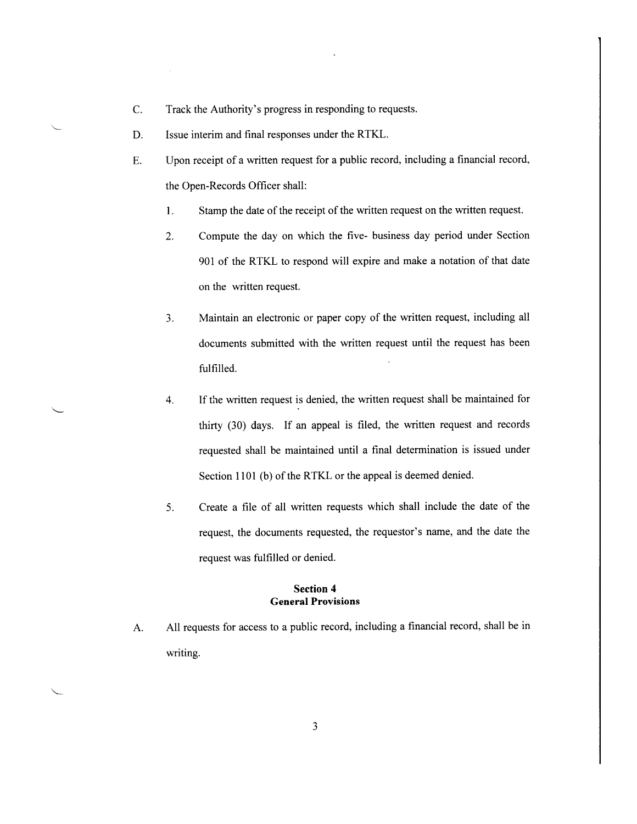- $C.$ Track the Authority's progress in responding to requests.
- Issue interim and final responses under the RTKL. D.
- Upon receipt of a written request for a public record, including a financial record, E. the Open-Records Officer shall:
	- 1. Stamp the date of the receipt of the written request on the written request.
	- $2.$ Compute the day on which the five- business day period under Section 901 of the RTKL to respond will expire and make a notation of that date on the written request.
	- Maintain an electronic or paper copy of the written request, including all  $3.$ documents submitted with the written request until the request has been fulfilled.
	- If the written request is denied, the written request shall be maintained for 4. thirty (30) days. If an appeal is filed, the written request and records requested shall be maintained until a final determination is issued under Section 1101 (b) of the RTKL or the appeal is deemed denied.
	- 5. Create a file of all written requests which shall include the date of the request, the documents requested, the requestor's name, and the date the request was fulfilled or denied.

#### **Section 4 General Provisions**

All requests for access to a public record, including a financial record, shall be in A. writing.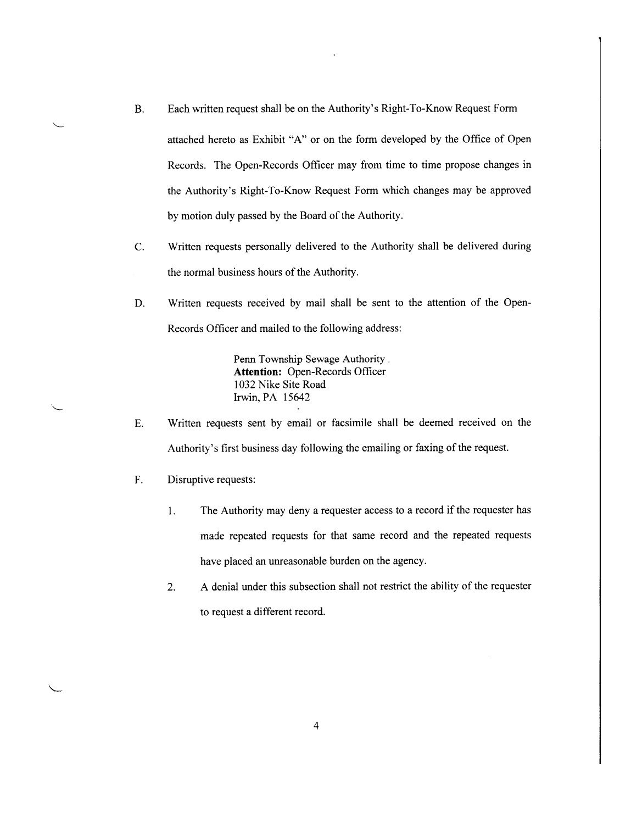**B.** Each written request shall be on the Authority's Right-To-Know Request Form

attached hereto as Exhibit "A" or on the form developed by the Office of Open Records. The Open-Records Officer may from time to time propose changes in the Authority's Right-To-Know Request Form which changes may be approved by motion duly passed by the Board of the Authority.

- $\mathcal{C}$ . Written requests personally delivered to the Authority shall be delivered during the normal business hours of the Authority.
- D. Written requests received by mail shall be sent to the attention of the Open-Records Officer and mailed to the following address:

Penn Township Sewage Authority. **Attention: Open-Records Officer** 1032 Nike Site Road Irwin, PA 15642

- E. Written requests sent by email or facsimile shall be deemed received on the Authority's first business day following the emailing or faxing of the request.
- F. Disruptive requests:
	- The Authority may deny a requester access to a record if the requester has  $1.$ made repeated requests for that same record and the repeated requests have placed an unreasonable burden on the agency.
	- A denial under this subsection shall not restrict the ability of the requester  $2.$ to request a different record.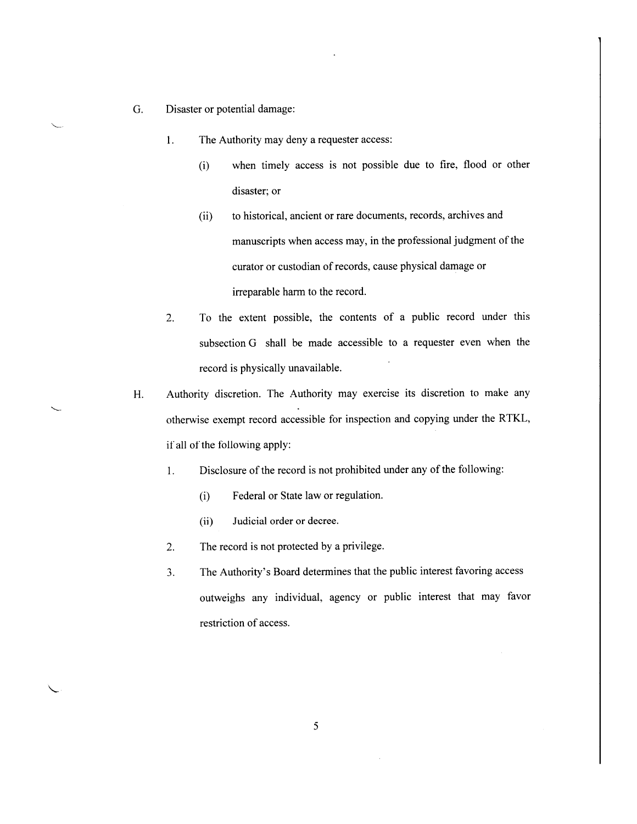- G. Disaster or potential damage:
	- The Authority may deny a requester access:  $1.$ 
		- $(i)$ when timely access is not possible due to fire, flood or other disaster; or
		- to historical, ancient or rare documents, records, archives and  $(ii)$ manuscripts when access may, in the professional judgment of the curator or custodian of records, cause physical damage or irreparable harm to the record.
	- To the extent possible, the contents of a public record under this  $2.$ subsection G shall be made accessible to a requester even when the record is physically unavailable.
- Authority discretion. The Authority may exercise its discretion to make any H. otherwise exempt record accessible for inspection and copying under the RTKL, if all of the following apply:
	- Disclosure of the record is not prohibited under any of the following:  $1.$ 
		- $(i)$ Federal or State law or regulation.
		- $(ii)$ Judicial order or decree.
	- $2.$ The record is not protected by a privilege.
	- $3.$ The Authority's Board determines that the public interest favoring access outweighs any individual, agency or public interest that may favor restriction of access.

5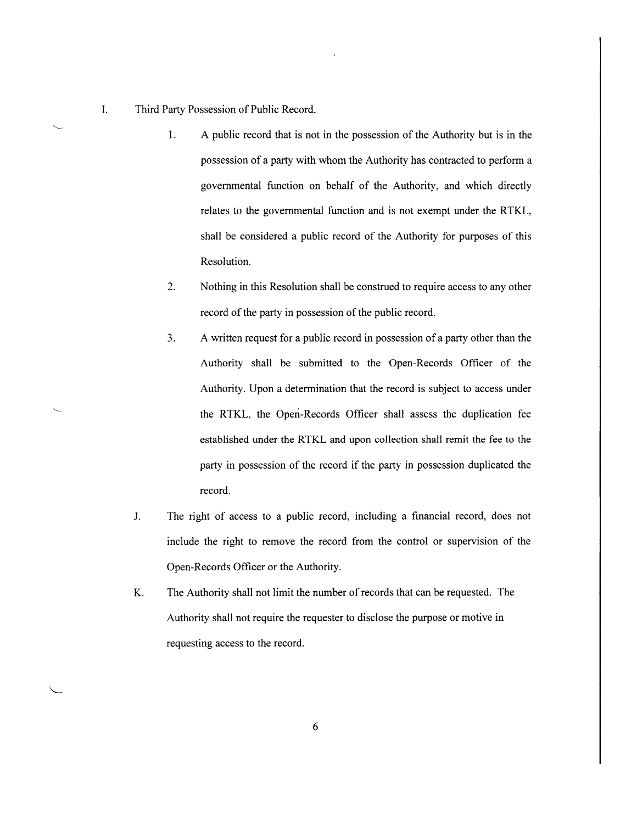Third Party Possession of Public Record.

- 1. A public record that is not in the possession of the Authority but is in the possession of a party with whom the Authority has contracted to perform a governmental function on behalf of the Authority, and which directly relates to the governmental function and is not exempt under the RTKL, shall be considered a public record of the Authority for purposes of this Resolution.
- $2.$ Nothing in this Resolution shall be construed to require access to any other record of the party in possession of the public record.
- $3.$ A written request for a public record in possession of a party other than the Authority shall be submitted to the Open-Records Officer of the Authority. Upon a determination that the record is subject to access under the RTKL, the Open-Records Officer shall assess the duplication fee established under the RTKL and upon collection shall remit the fee to the party in possession of the record if the party in possession duplicated the record.
- J. The right of access to a public record, including a financial record, does not include the right to remove the record from the control or supervision of the Open-Records Officer or the Authority.
- K. The Authority shall not limit the number of records that can be requested. The Authority shall not require the requester to disclose the purpose or motive in requesting access to the record.

 ${\bf I}.$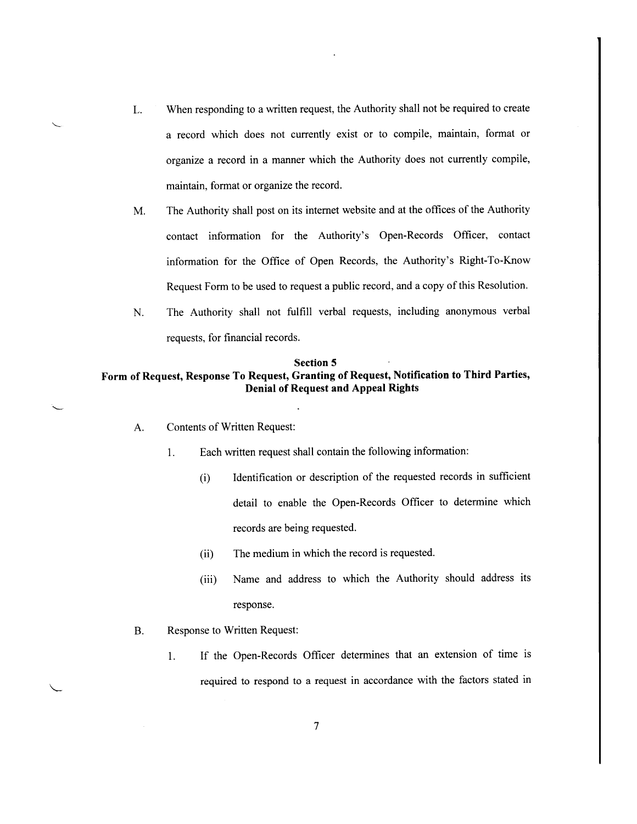- When responding to a written request, the Authority shall not be required to create L. a record which does not currently exist or to compile, maintain, format or organize a record in a manner which the Authority does not currently compile, maintain, format or organize the record.
- The Authority shall post on its internet website and at the offices of the Authority M. contact information for the Authority's Open-Records Officer, contact information for the Office of Open Records, the Authority's Right-To-Know Request Form to be used to request a public record, and a copy of this Resolution.
- The Authority shall not fulfill verbal requests, including anonymous verbal  $N<sub>1</sub>$ requests, for financial records.

# **Section 5** Form of Request, Response To Request, Granting of Request, Notification to Third Parties, **Denial of Request and Appeal Rights**

- **Contents of Written Request:** A.
	- $1.$ Each written request shall contain the following information:
		- Identification or description of the requested records in sufficient  $(i)$ detail to enable the Open-Records Officer to determine which records are being requested.
		- The medium in which the record is requested.  $(ii)$
		- Name and address to which the Authority should address its  $(iii)$ response.
- **B.** Response to Written Request:
	- If the Open-Records Officer determines that an extension of time is  $1.$ required to respond to a request in accordance with the factors stated in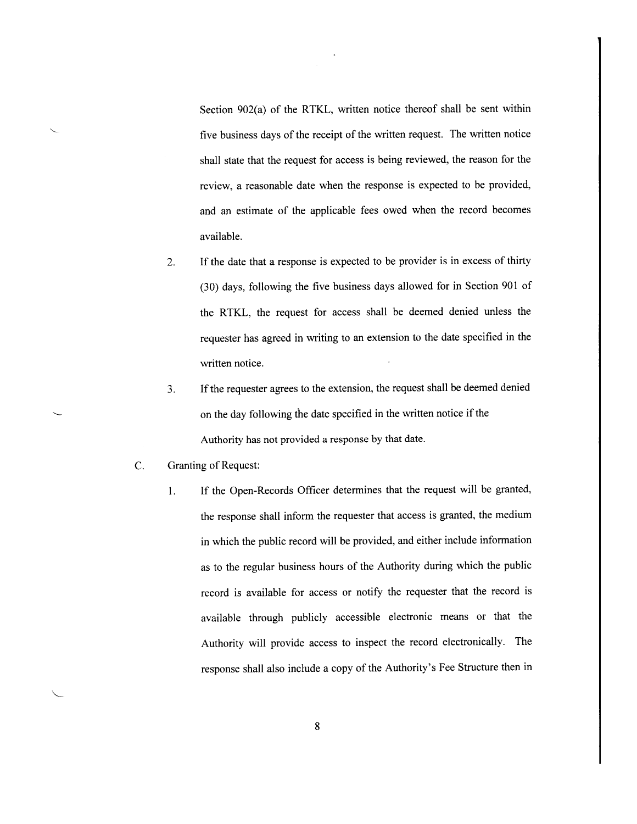Section 902(a) of the RTKL, written notice thereof shall be sent within five business days of the receipt of the written request. The written notice shall state that the request for access is being reviewed, the reason for the review, a reasonable date when the response is expected to be provided, and an estimate of the applicable fees owed when the record becomes available.

- If the date that a response is expected to be provider is in excess of thirty  $2.$ (30) days, following the five business days allowed for in Section 901 of the RTKL, the request for access shall be deemed denied unless the requester has agreed in writing to an extension to the date specified in the written notice.
- $3.$ If the requester agrees to the extension, the request shall be deemed denied on the day following the date specified in the written notice if the Authority has not provided a response by that date.
- $\overline{C}$ . **Granting of Request:** 
	- If the Open-Records Officer determines that the request will be granted, 1. the response shall inform the requester that access is granted, the medium in which the public record will be provided, and either include information as to the regular business hours of the Authority during which the public record is available for access or notify the requester that the record is available through publicly accessible electronic means or that the Authority will provide access to inspect the record electronically. The response shall also include a copy of the Authority's Fee Structure then in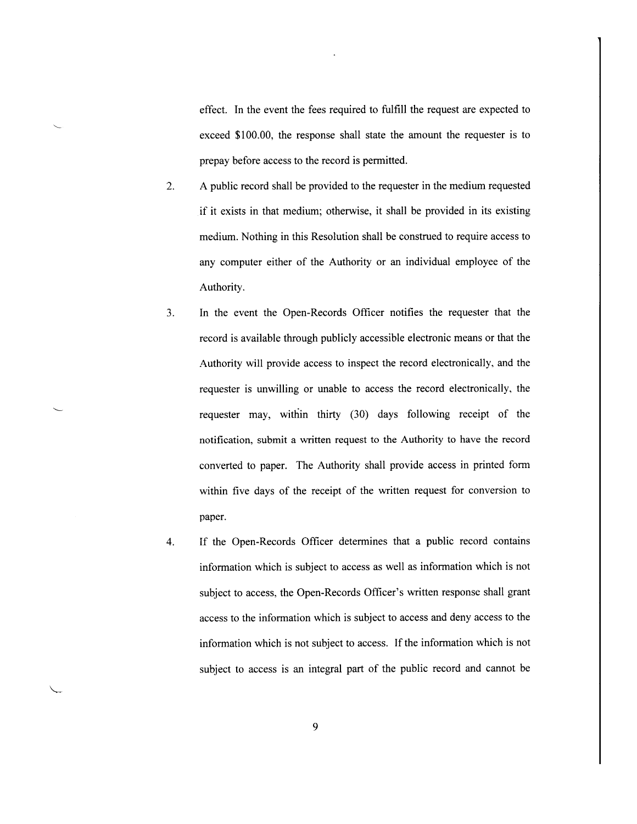effect. In the event the fees required to fulfill the request are expected to exceed \$100.00, the response shall state the amount the requester is to prepay before access to the record is permitted.

- A public record shall be provided to the requester in the medium requested  $2.$ if it exists in that medium; otherwise, it shall be provided in its existing medium. Nothing in this Resolution shall be construed to require access to any computer either of the Authority or an individual employee of the Authority.
- $3.$ In the event the Open-Records Officer notifies the requester that the record is available through publicly accessible electronic means or that the Authority will provide access to inspect the record electronically, and the requester is unwilling or unable to access the record electronically, the requester may, within thirty (30) days following receipt of the notification, submit a written request to the Authority to have the record converted to paper. The Authority shall provide access in printed form within five days of the receipt of the written request for conversion to paper.
- If the Open-Records Officer determines that a public record contains  $\overline{4}$ . information which is subject to access as well as information which is not subject to access, the Open-Records Officer's written response shall grant access to the information which is subject to access and deny access to the information which is not subject to access. If the information which is not subject to access is an integral part of the public record and cannot be

9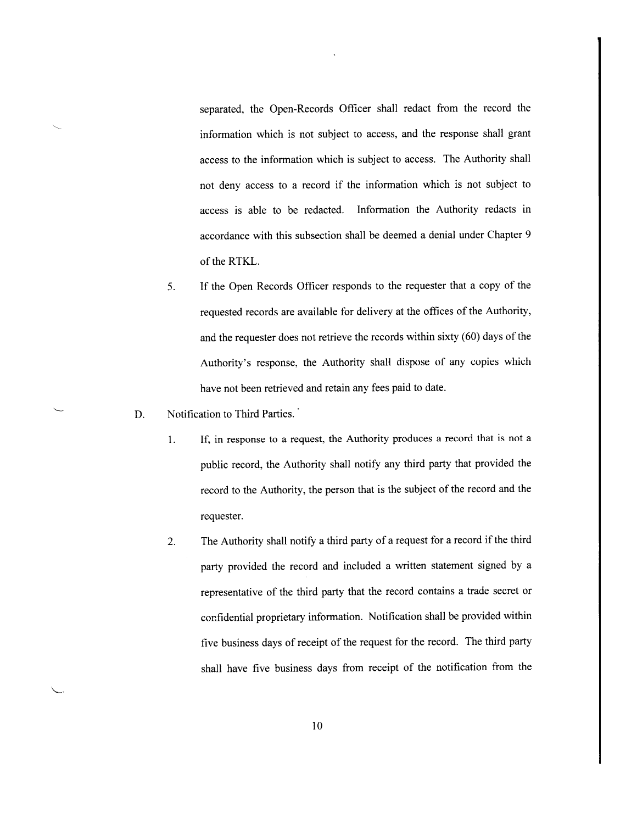separated, the Open-Records Officer shall redact from the record the information which is not subject to access, and the response shall grant access to the information which is subject to access. The Authority shall not deny access to a record if the information which is not subject to access is able to be redacted. Information the Authority redacts in accordance with this subsection shall be deemed a denial under Chapter 9 of the RTKL.

- If the Open Records Officer responds to the requester that a copy of the 5. requested records are available for delivery at the offices of the Authority, and the requester does not retrieve the records within sixty (60) days of the Authority's response, the Authority shall dispose of any copies which have not been retrieved and retain any fees paid to date.
- Notification to Third Parties. D.
	- If, in response to a request, the Authority produces a record that is not a  $1<sub>1</sub>$ public record, the Authority shall notify any third party that provided the record to the Authority, the person that is the subject of the record and the requester.
	- The Authority shall notify a third party of a request for a record if the third  $2.$ party provided the record and included a written statement signed by a representative of the third party that the record contains a trade secret or confidential proprietary information. Notification shall be provided within five business days of receipt of the request for the record. The third party shall have five business days from receipt of the notification from the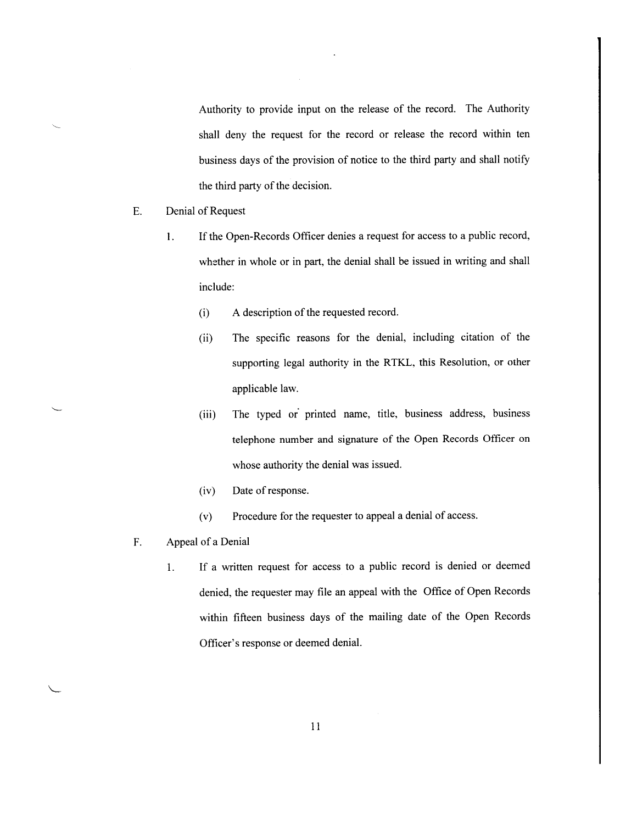Authority to provide input on the release of the record. The Authority shall deny the request for the record or release the record within ten business days of the provision of notice to the third party and shall notify the third party of the decision.

- E. Denial of Request
	- If the Open-Records Officer denies a request for access to a public record,  $\mathbf{1}$ . whether in whole or in part, the denial shall be issued in writing and shall include:
		- A description of the requested record.  $(i)$
		- The specific reasons for the denial, including citation of the  $(ii)$ supporting legal authority in the RTKL, this Resolution, or other applicable law.
		- The typed or printed name, title, business address, business  $(iii)$ telephone number and signature of the Open Records Officer on whose authority the denial was issued.
		- Date of response.  $(iv)$
		- Procedure for the requester to appeal a denial of access.  $(v)$
- F. Appeal of a Denial
	- If a written request for access to a public record is denied or deemed 1. denied, the requester may file an appeal with the Office of Open Records within fifteen business days of the mailing date of the Open Records Officer's response or deemed denial.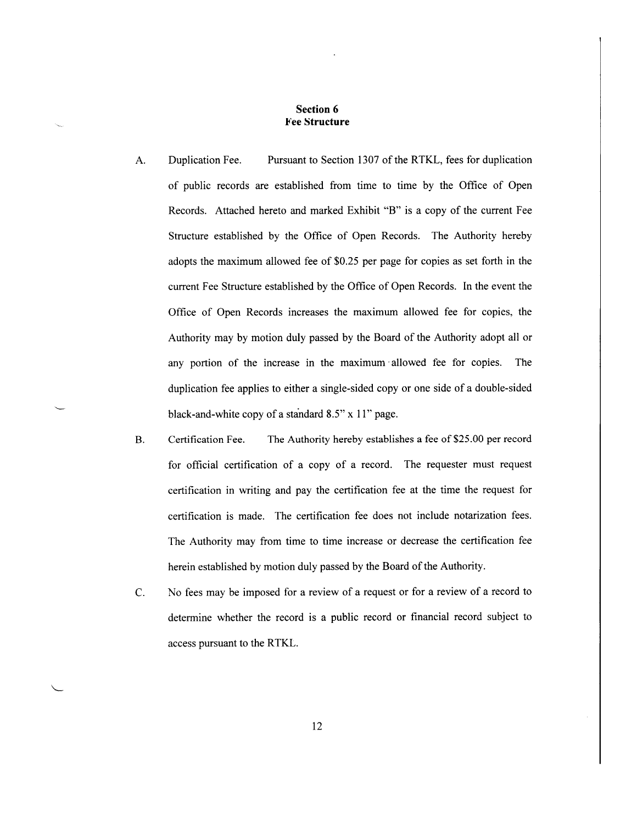#### **Section 6 Fee Structure**

- A. Duplication Fee. Pursuant to Section 1307 of the RTKL, fees for duplication of public records are established from time to time by the Office of Open Records. Attached hereto and marked Exhibit "B" is a copy of the current Fee Structure established by the Office of Open Records. The Authority hereby adopts the maximum allowed fee of \$0.25 per page for copies as set forth in the current Fee Structure established by the Office of Open Records. In the event the Office of Open Records increases the maximum allowed fee for copies, the Authority may by motion duly passed by the Board of the Authority adopt all or any portion of the increase in the maximum allowed fee for copies. The duplication fee applies to either a single-sided copy or one side of a double-sided black-and-white copy of a standard  $8.5$ " x 11" page.
- The Authority hereby establishes a fee of \$25.00 per record **B.** Certification Fee. for official certification of a copy of a record. The requester must request certification in writing and pay the certification fee at the time the request for certification is made. The certification fee does not include notarization fees. The Authority may from time to time increase or decrease the certification fee herein established by motion duly passed by the Board of the Authority.
- $C<sub>1</sub>$ No fees may be imposed for a review of a request or for a review of a record to determine whether the record is a public record or financial record subject to access pursuant to the RTKL.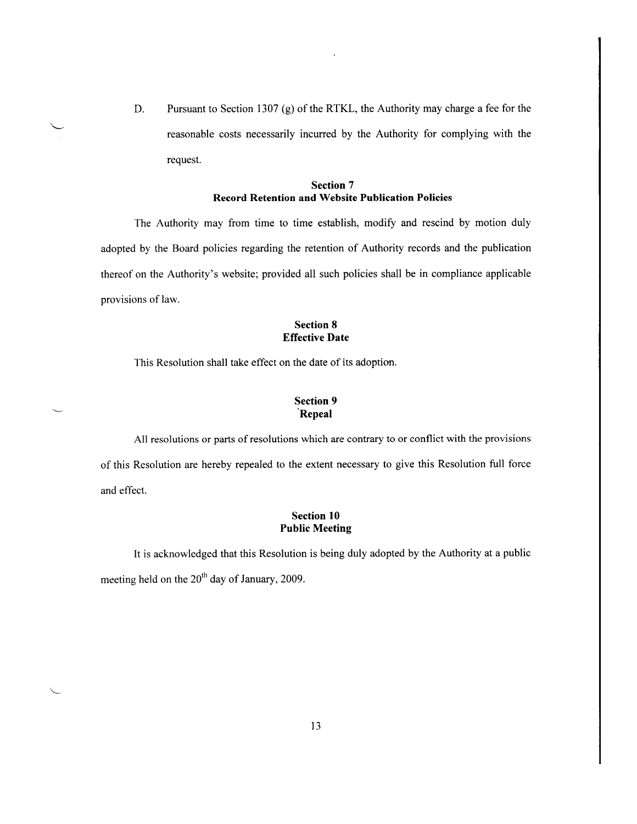Pursuant to Section 1307 (g) of the RTKL, the Authority may charge a fee for the D. reasonable costs necessarily incurred by the Authority for complying with the request.

#### **Section 7 Record Retention and Website Publication Policies**

The Authority may from time to time establish, modify and rescind by motion duly adopted by the Board policies regarding the retention of Authority records and the publication thereof on the Authority's website; provided all such policies shall be in compliance applicable provisions of law.

# **Section 8 Effective Date**

This Resolution shall take effect on the date of its adoption.

# **Section 9** Repeal

All resolutions or parts of resolutions which are contrary to or conflict with the provisions of this Resolution are hereby repealed to the extent necessary to give this Resolution full force and effect.

# **Section 10 Public Meeting**

It is acknowledged that this Resolution is being duly adopted by the Authority at a public meeting held on the 20<sup>th</sup> day of January, 2009.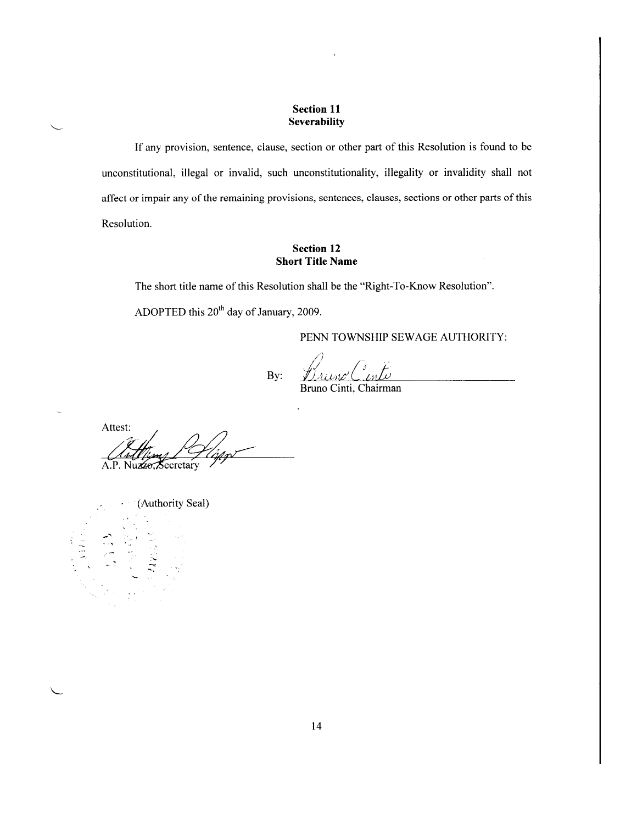# **Section 11** Severability

If any provision, sentence, clause, section or other part of this Resolution is found to be unconstitutional, illegal or invalid, such unconstitutionality, illegality or invalidity shall not affect or impair any of the remaining provisions, sentences, clauses, sections or other parts of this Resolution.

# **Section 12 Short Title Name**

The short title name of this Resolution shall be the "Right-To-Know Resolution".

ADOPTED this 20<sup>th</sup> day of January, 2009.

PENN TOWNSHIP SEWAGE AUTHORITY:

Drieno' Cento By:

Attest: A.P. Nuzzo, Secretary

(Authority Seal)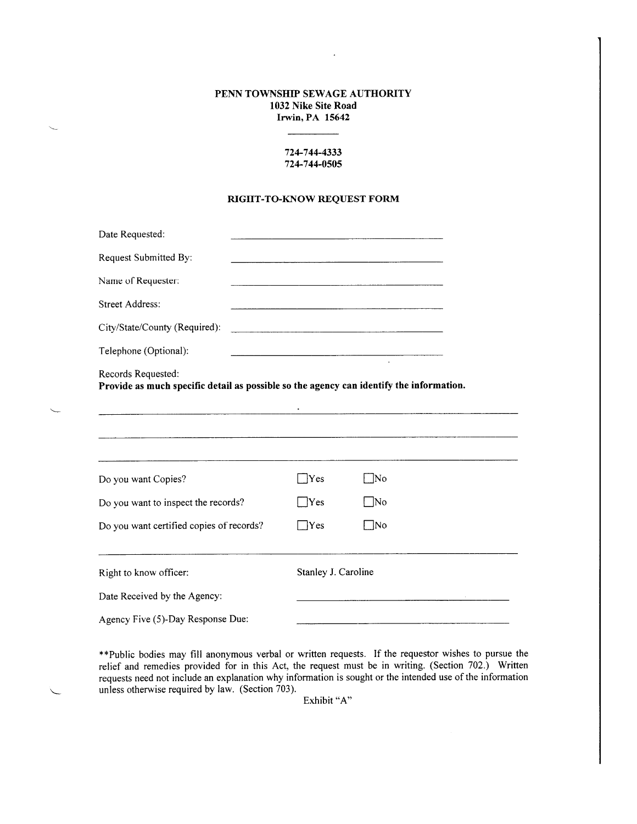# PENN TOWNSHIP SEWAGE AUTHORITY 1032 Nike Site Road Irwin, PA 15642

 $\ddot{\phantom{a}}$ 

# 724-744-4333 724-744-0505

#### RIGHT-TO-KNOW REQUEST FORM

| Date Requested:                                                                                               |                     | the contract of the contract of the contract of the contract of the contract of the                                  |
|---------------------------------------------------------------------------------------------------------------|---------------------|----------------------------------------------------------------------------------------------------------------------|
| Request Submitted By:                                                                                         |                     |                                                                                                                      |
| Name of Requester:                                                                                            |                     |                                                                                                                      |
| <b>Street Address:</b>                                                                                        |                     | <u> Alexandro de la contrada de la contrada de la contrada de la contrada de la contrada de la contrada de la co</u> |
| City/State/County (Required):                                                                                 |                     |                                                                                                                      |
| Telephone (Optional):                                                                                         |                     | $\sim 10$                                                                                                            |
| Records Requested:<br>Provide as much specific detail as possible so the agency can identify the information. |                     |                                                                                                                      |
|                                                                                                               |                     | <u> 1980 - Januar Alexandro III, martxoar eta biztanleria eta mondoa eta hiri zuen ziren ziren ziren ziren ziren</u> |
|                                                                                                               | Yes                 | - No                                                                                                                 |
| Do you want to inspect the records?                                                                           | Yes                 | - No                                                                                                                 |
| Do you want Copies?<br>Do you want certified copies of records?                                               | Yes                 | ™o                                                                                                                   |
| Right to know officer:                                                                                        | Stanley J. Caroline |                                                                                                                      |
| Date Received by the Agency:                                                                                  |                     |                                                                                                                      |

\*\* Public bodies may fill anonymous verbal or written requests. If the requestor wishes to pursue the relief and remedies provided for in this Act, the request must be in writing. (Section 702.) Written requests need not include an explanation why information is sought or the intended use of the information unless otherwise required by law. (Section 703).

Exhibit "A"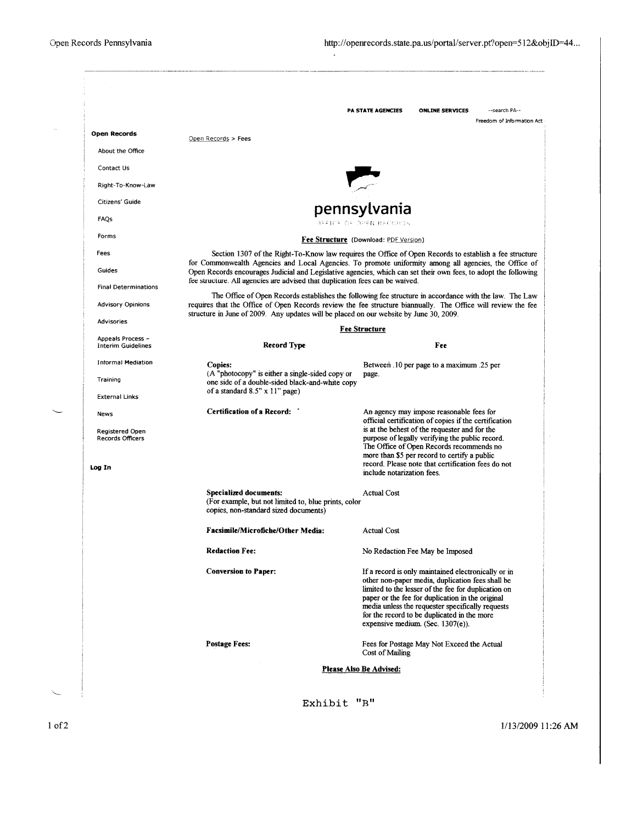|                                                                            |                                                                                                                                                                                                                                                                                                                  | PA STATE AGENCIES                                                                                                                                                                                                        | <b>ONLINE SERVICES</b>                                                                                                                                                                                                                                                                                                                                     | --search PA--<br>Freedom of Information Act |  |  |
|----------------------------------------------------------------------------|------------------------------------------------------------------------------------------------------------------------------------------------------------------------------------------------------------------------------------------------------------------------------------------------------------------|--------------------------------------------------------------------------------------------------------------------------------------------------------------------------------------------------------------------------|------------------------------------------------------------------------------------------------------------------------------------------------------------------------------------------------------------------------------------------------------------------------------------------------------------------------------------------------------------|---------------------------------------------|--|--|
| <b>Open Records</b>                                                        |                                                                                                                                                                                                                                                                                                                  |                                                                                                                                                                                                                          |                                                                                                                                                                                                                                                                                                                                                            |                                             |  |  |
| About the Office                                                           | Open Records > Fees                                                                                                                                                                                                                                                                                              |                                                                                                                                                                                                                          |                                                                                                                                                                                                                                                                                                                                                            |                                             |  |  |
| Contact Us                                                                 |                                                                                                                                                                                                                                                                                                                  |                                                                                                                                                                                                                          |                                                                                                                                                                                                                                                                                                                                                            |                                             |  |  |
| Right-To-Know-Law                                                          |                                                                                                                                                                                                                                                                                                                  |                                                                                                                                                                                                                          |                                                                                                                                                                                                                                                                                                                                                            |                                             |  |  |
| Citizens' Guide                                                            | pennsylvania                                                                                                                                                                                                                                                                                                     |                                                                                                                                                                                                                          |                                                                                                                                                                                                                                                                                                                                                            |                                             |  |  |
| FAQs                                                                       |                                                                                                                                                                                                                                                                                                                  | OPEICE OF DREN RECORDS                                                                                                                                                                                                   |                                                                                                                                                                                                                                                                                                                                                            |                                             |  |  |
| Forms                                                                      | Fee Structure (Download: PDF Version)                                                                                                                                                                                                                                                                            |                                                                                                                                                                                                                          |                                                                                                                                                                                                                                                                                                                                                            |                                             |  |  |
| Fees                                                                       |                                                                                                                                                                                                                                                                                                                  | Section 1307 of the Right-To-Know law requires the Office of Open Records to establish a fee structure                                                                                                                   |                                                                                                                                                                                                                                                                                                                                                            |                                             |  |  |
| Guides                                                                     |                                                                                                                                                                                                                                                                                                                  | for Commonwealth Agencies and Local Agencies. To promote uniformity among all agencies, the Office of<br>Open Records encourages Judicial and Legislative agencies, which can set their own fees, to adopt the following |                                                                                                                                                                                                                                                                                                                                                            |                                             |  |  |
| <b>Final Determinations</b>                                                | fee structure. All agencies are advised that duplication fees can be waived.                                                                                                                                                                                                                                     |                                                                                                                                                                                                                          |                                                                                                                                                                                                                                                                                                                                                            |                                             |  |  |
| <b>Advisory Opinions</b>                                                   | The Office of Open Records establishes the following fee structure in accordance with the law. The Law<br>requires that the Office of Open Records review the fee structure biannually. The Office will review the fee<br>structure in June of 2009. Any updates will be placed on our website by June 30, 2009. |                                                                                                                                                                                                                          |                                                                                                                                                                                                                                                                                                                                                            |                                             |  |  |
| Advisories                                                                 |                                                                                                                                                                                                                                                                                                                  | <b>Fee Structure</b>                                                                                                                                                                                                     |                                                                                                                                                                                                                                                                                                                                                            |                                             |  |  |
| Appeals Process -<br><b>Interim Guidelines</b>                             | Record Type                                                                                                                                                                                                                                                                                                      |                                                                                                                                                                                                                          | Fee                                                                                                                                                                                                                                                                                                                                                        |                                             |  |  |
| <b>Informal Mediation</b>                                                  | Copies:                                                                                                                                                                                                                                                                                                          |                                                                                                                                                                                                                          | Between 10 per page to a maximum .25 per                                                                                                                                                                                                                                                                                                                   |                                             |  |  |
| Training                                                                   | (A "photocopy" is either a single-sided copy or<br>one side of a double-sided black-and-white copy<br>of a standard 8.5" x 11" page)                                                                                                                                                                             | page.                                                                                                                                                                                                                    |                                                                                                                                                                                                                                                                                                                                                            |                                             |  |  |
| <b>External Links</b>                                                      |                                                                                                                                                                                                                                                                                                                  |                                                                                                                                                                                                                          |                                                                                                                                                                                                                                                                                                                                                            |                                             |  |  |
| <b>News</b><br><b>Registered Open</b><br><b>Records Officers</b><br>Log In | Certification of a Record:                                                                                                                                                                                                                                                                                       | include notarization fees.                                                                                                                                                                                               | An agency may impose reasonable fees for<br>official certification of copies if the certification<br>is at the behest of the requester and for the<br>purpose of legally verifying the public record.<br>The Office of Open Records recommends no<br>more than \$5 per record to certify a public<br>record. Please note that certification fees do not    |                                             |  |  |
|                                                                            | Specialized documents:<br>(For example, but not limited to, blue prints, color<br>copies, non-standard sized documents)                                                                                                                                                                                          | <b>Actual Cost</b>                                                                                                                                                                                                       |                                                                                                                                                                                                                                                                                                                                                            |                                             |  |  |
|                                                                            | Facsimile/Microfiche/Other Media:                                                                                                                                                                                                                                                                                | Actual Cost                                                                                                                                                                                                              |                                                                                                                                                                                                                                                                                                                                                            |                                             |  |  |
|                                                                            | <b>Redaction Fee:</b>                                                                                                                                                                                                                                                                                            |                                                                                                                                                                                                                          | No Redaction Fee May be Imposed                                                                                                                                                                                                                                                                                                                            |                                             |  |  |
|                                                                            | <b>Conversion to Paper:</b>                                                                                                                                                                                                                                                                                      |                                                                                                                                                                                                                          | If a record is only maintained electronically or in<br>other non-paper media, duplication fees shall be<br>limited to the lesser of the fee for duplication on<br>paper or the fee for duplication in the original<br>media unless the requester specifically requests<br>for the record to be duplicated in the more<br>expensive medium. (Sec. 1307(e)). |                                             |  |  |
|                                                                            | Postage Fees:                                                                                                                                                                                                                                                                                                    | Cost of Mailing                                                                                                                                                                                                          | Fees for Postage May Not Exceed the Actual                                                                                                                                                                                                                                                                                                                 |                                             |  |  |
|                                                                            |                                                                                                                                                                                                                                                                                                                  | Please Also Be Advised:                                                                                                                                                                                                  |                                                                                                                                                                                                                                                                                                                                                            |                                             |  |  |
|                                                                            |                                                                                                                                                                                                                                                                                                                  |                                                                                                                                                                                                                          |                                                                                                                                                                                                                                                                                                                                                            |                                             |  |  |
|                                                                            | Exhibit                                                                                                                                                                                                                                                                                                          | "R"                                                                                                                                                                                                                      |                                                                                                                                                                                                                                                                                                                                                            |                                             |  |  |

 $\overline{a}$ 

1/13/2009 11:26 AM